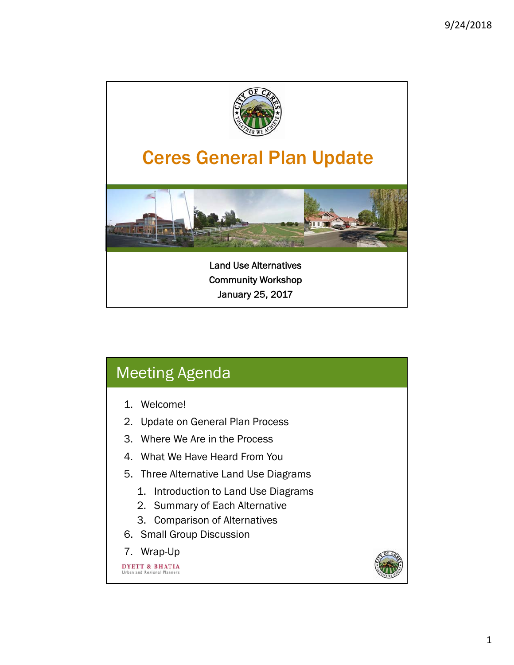

| Meeting Agenda                                                                                                                                                                                         |  |
|--------------------------------------------------------------------------------------------------------------------------------------------------------------------------------------------------------|--|
| 1. Welcome!<br>2. Update on General Plan Process<br>3. Where We Are in the Process<br>4. What We Have Heard From You<br>5. Three Alternative Land Use Diagrams<br>1. Introduction to Land Use Diagrams |  |
| 2. Summary of Each Alternative<br>3. Comparison of Alternatives<br>6. Small Group Discussion<br>7. Wrap-Up<br><b>ETT &amp; BHATIA</b><br>Urban and Regional Planners                                   |  |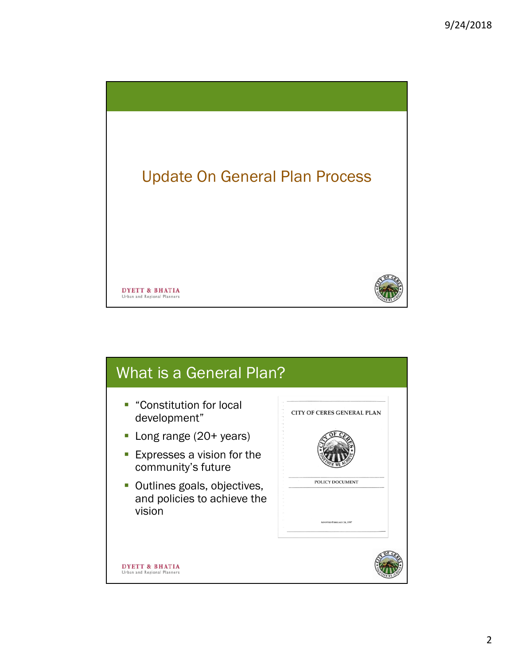

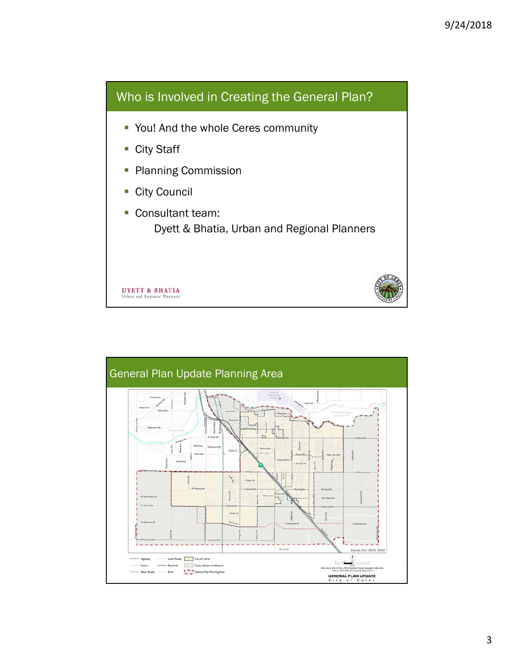

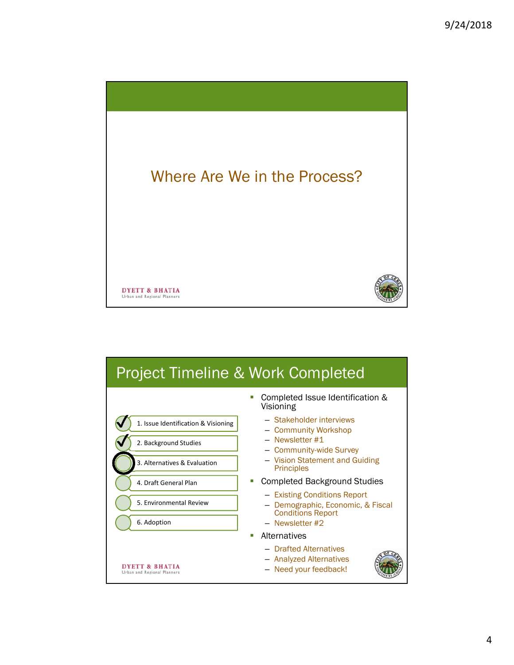

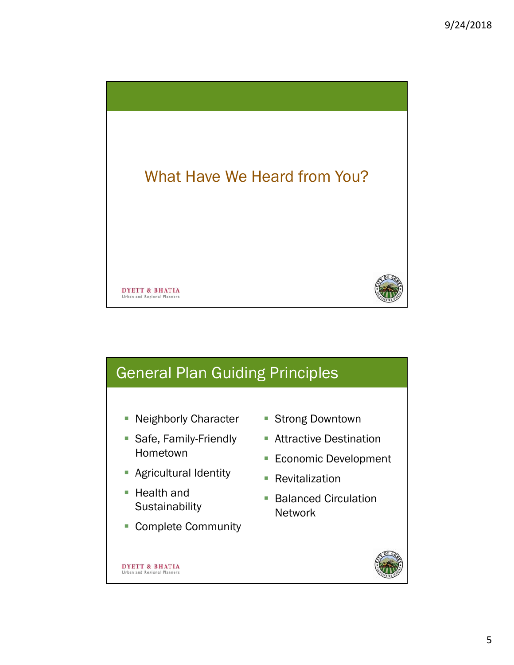



- **Economic Development** 
	- **Revitalization**
	- **Balanced Circulation** Network
- Complete Community



**DYETT & BHATIA** Urban and Regional Planners

■ Health and

**Sustainability** 

**Agricultural Identity**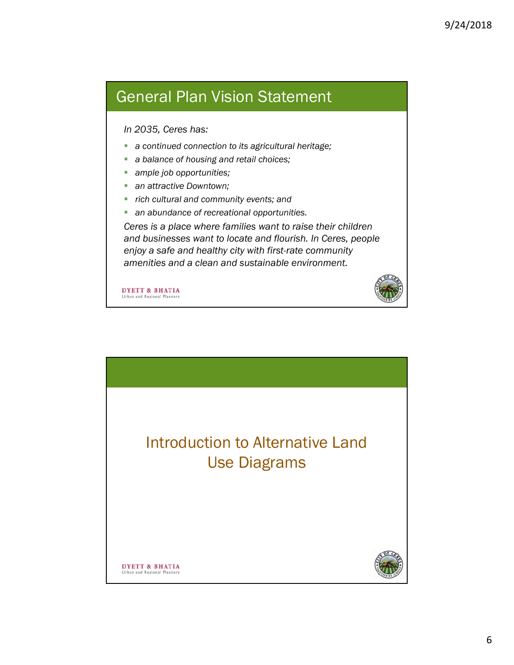## General Plan Vision Statement

## *In 2035, Ceres has:*

- *a continued connection to its agricultural heritage;*
- *a balance of housing and retail choices;*
- *ample job opportunities;*
- *an attractive Downtown;*
- *rich cultural and community events; and*
- *an abundance of recreational opportunities.*

*Ceres is a place where families want to raise their children and businesses want to locate and flourish. In Ceres, people enjoy a safe and healthy city with first-rate community amenities and a clean and sustainable environment.*

**DYETT & BHATIA** Urban and Regional Planner

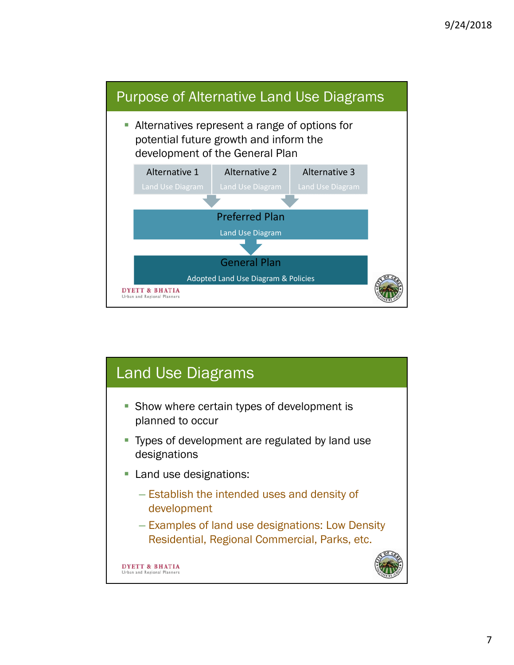

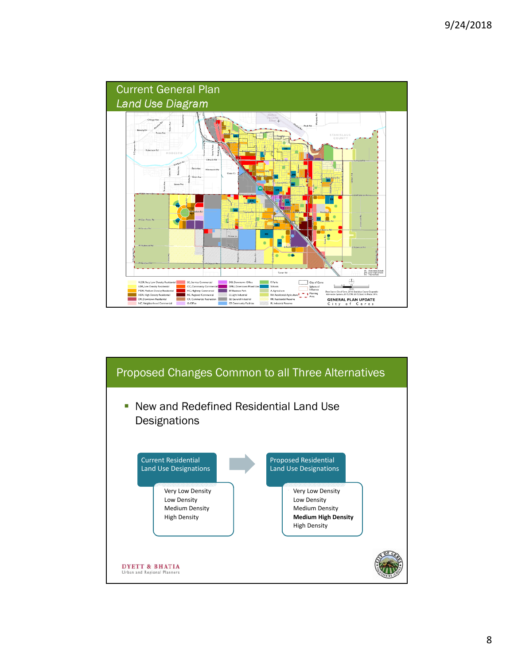

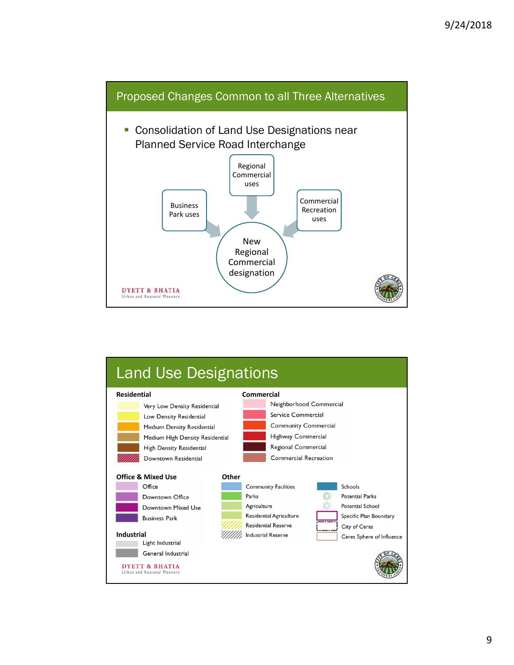

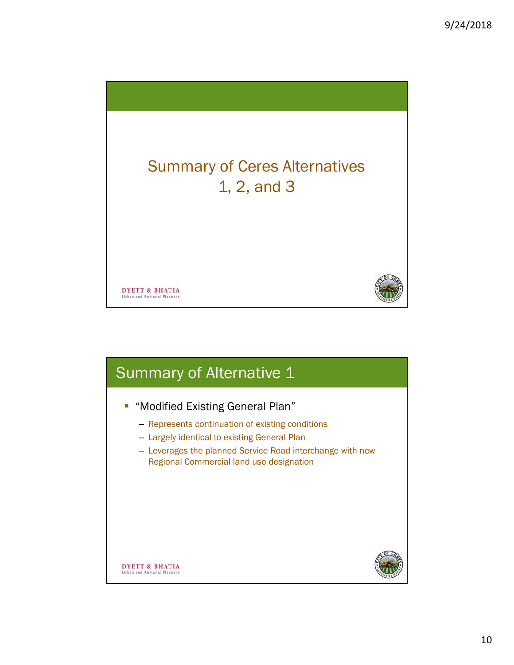

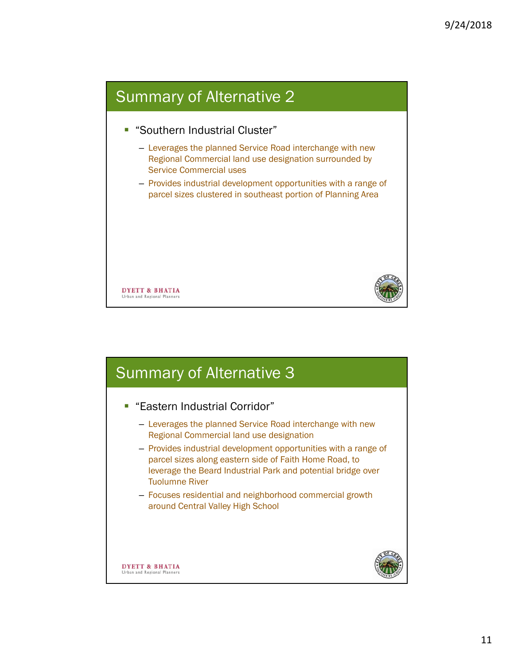